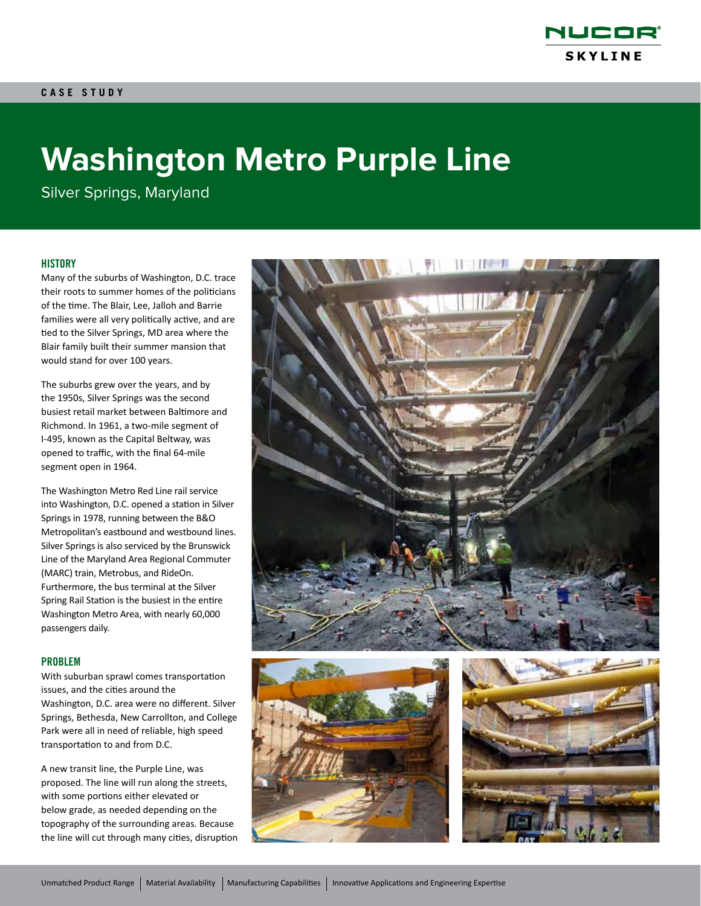

# **Washington Metro Purple Line**

Silver Springs, Maryland

### **HISTORY**

Many of the suburbs of Washington, D.C. trace their roots to summer homes of the politicians of the time. The Blair, Lee, Jalloh and Barrie families were all very politically active, and are tied to the Silver Springs, MD area where the Blair family built their summer mansion that would stand for over 100 years.

The suburbs grew over the years, and by the 1950s, Silver Springs was the second busiest retail market between Baltimore and Richmond. In 1961, a two-mile segment of I-495, known as the Capital Beltway, was opened to traffic, with the final 64-mile segment open in 1964.

The Washington Metro Red Line rail service into Washington, D.C. opened a station in Silver Springs in 1978, running between the B&O Metropolitan's eastbound and westbound lines. Silver Springs is also serviced by the Brunswick Line of the Maryland Area Regional Commuter (MARC) train, Metrobus, and RideOn. Furthermore, the bus terminal at the Silver Spring Rail Station is the busiest in the entire Washington Metro Area, with nearly 60,000 passengers daily.

### PROBLEM

With suburban sprawl comes transportation issues, and the cities around the Washington, D.C. area were no different. Silver Springs, Bethesda, New Carrollton, and College Park were all in need of reliable, high speed transportation to and from D.C.

A new transit line, the Purple Line, was proposed. The line will run along the streets, with some portions either elevated or below grade, as needed depending on the topography of the surrounding areas. Because the line will cut through many cities, disruption